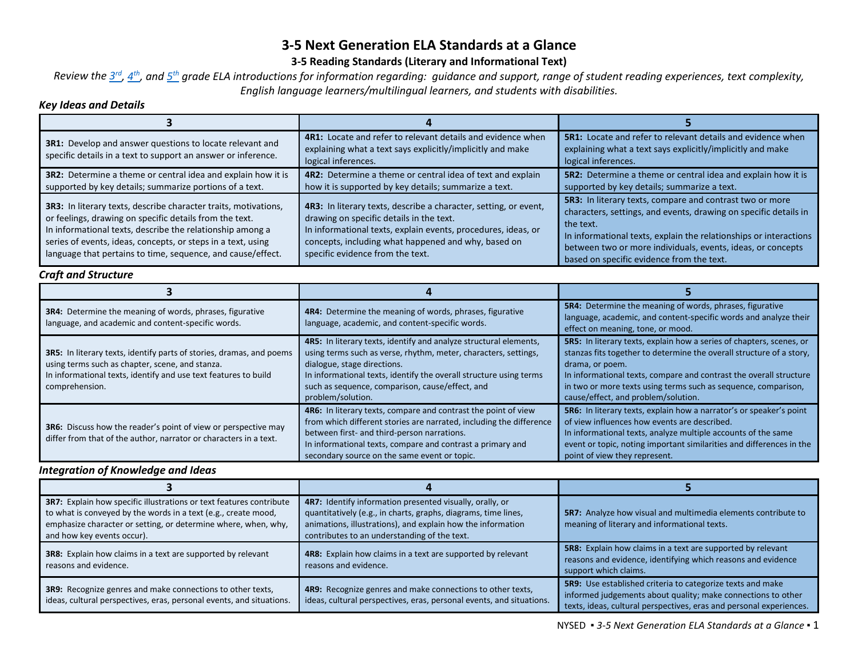# **3-5 Next Generation ELA Standards at a Glance**

## **3-5 Reading Standards (Literary and Informational Text)**

*Review the [3rd,](http://www.nysed.gov/common/nysed/files/programs/curriculum-instruction/nys-next-generation-ela-standards.pdf#page=45) [4th,](http://www.nysed.gov/common/nysed/files/programs/curriculum-instruction/nys-next-generation-ela-standards.pdf#page=54) and [5th](http://www.nysed.gov/common/nysed/files/programs/curriculum-instruction/nys-next-generation-ela-standards.pdf#page=63) grade ELA introductions for information regarding: guidance and support, range of student reading experiences, text complexity, English language learners/multilingual learners, and students with disabilities.* 

## *Key Ideas and Details*

| 3R1: Develop and answer questions to locate relevant and<br>specific details in a text to support an answer or inference.                                                                                                                                                                                                     | 4R1: Locate and refer to relevant details and evidence when<br>explaining what a text says explicitly/implicitly and make<br>logical inferences.                                                                                                                         | <b>5R1:</b> Locate and refer to relevant details and evidence when<br>explaining what a text says explicitly/implicitly and make<br>logical inferences.                                                                                                                                                                    |
|-------------------------------------------------------------------------------------------------------------------------------------------------------------------------------------------------------------------------------------------------------------------------------------------------------------------------------|--------------------------------------------------------------------------------------------------------------------------------------------------------------------------------------------------------------------------------------------------------------------------|----------------------------------------------------------------------------------------------------------------------------------------------------------------------------------------------------------------------------------------------------------------------------------------------------------------------------|
| 3R2: Determine a theme or central idea and explain how it is<br>supported by key details; summarize portions of a text.                                                                                                                                                                                                       | 4R2: Determine a theme or central idea of text and explain<br>how it is supported by key details; summarize a text.                                                                                                                                                      | 5R2: Determine a theme or central idea and explain how it is<br>supported by key details; summarize a text.                                                                                                                                                                                                                |
| <b>3R3:</b> In literary texts, describe character traits, motivations,<br>or feelings, drawing on specific details from the text.<br>In informational texts, describe the relationship among a<br>series of events, ideas, concepts, or steps in a text, using<br>language that pertains to time, sequence, and cause/effect. | 4R3: In literary texts, describe a character, setting, or event,<br>drawing on specific details in the text.<br>In informational texts, explain events, procedures, ideas, or<br>concepts, including what happened and why, based on<br>specific evidence from the text. | 5R3: In literary texts, compare and contrast two or more<br>characters, settings, and events, drawing on specific details in<br>the text.<br>In informational texts, explain the relationships or interactions<br>between two or more individuals, events, ideas, or concepts<br>based on specific evidence from the text. |

# *Craft and Structure*

| <b>3R4:</b> Determine the meaning of words, phrases, figurative<br>language, and academic and content-specific words.                                                                                               | 4R4: Determine the meaning of words, phrases, figurative<br>language, academic, and content-specific words.                                                                                                                                                                                                       | <b>5R4:</b> Determine the meaning of words, phrases, figurative<br>language, academic, and content-specific words and analyze their<br>effect on meaning, tone, or mood.                                                                                                                                                                              |
|---------------------------------------------------------------------------------------------------------------------------------------------------------------------------------------------------------------------|-------------------------------------------------------------------------------------------------------------------------------------------------------------------------------------------------------------------------------------------------------------------------------------------------------------------|-------------------------------------------------------------------------------------------------------------------------------------------------------------------------------------------------------------------------------------------------------------------------------------------------------------------------------------------------------|
| <b>3R5:</b> In literary texts, identify parts of stories, dramas, and poems<br>using terms such as chapter, scene, and stanza.<br>In informational texts, identify and use text features to build<br>comprehension. | 4R5: In literary texts, identify and analyze structural elements,<br>using terms such as verse, rhythm, meter, characters, settings,<br>dialogue, stage directions.<br>In informational texts, identify the overall structure using terms<br>such as sequence, comparison, cause/effect, and<br>problem/solution. | <b>5R5:</b> In literary texts, explain how a series of chapters, scenes, or<br>stanzas fits together to determine the overall structure of a story,<br>drama, or poem.<br>In informational texts, compare and contrast the overall structure<br>in two or more texts using terms such as sequence, comparison,<br>cause/effect, and problem/solution. |
| <b>3R6:</b> Discuss how the reader's point of view or perspective may<br>differ from that of the author, narrator or characters in a text.                                                                          | 4R6: In literary texts, compare and contrast the point of view<br>from which different stories are narrated, including the difference<br>between first- and third-person narrations.<br>In informational texts, compare and contrast a primary and<br>secondary source on the same event or topic.                | 5R6: In literary texts, explain how a narrator's or speaker's point<br>of view influences how events are described.<br>In informational texts, analyze multiple accounts of the same<br>event or topic, noting important similarities and differences in the<br>point of view they represent.                                                         |

# *Integration of Knowledge and Ideas*

| 3R7: Explain how specific illustrations or text features contribute<br>to what is conveyed by the words in a text (e.g., create mood,<br>emphasize character or setting, or determine where, when, why,<br>and how key events occur). | 4R7: Identify information presented visually, orally, or<br>quantitatively (e.g., in charts, graphs, diagrams, time lines,<br>animations, illustrations), and explain how the information<br>contributes to an understanding of the text. | <b>5R7:</b> Analyze how visual and multimedia elements contribute to<br>meaning of literary and informational texts.                                                                              |
|---------------------------------------------------------------------------------------------------------------------------------------------------------------------------------------------------------------------------------------|-------------------------------------------------------------------------------------------------------------------------------------------------------------------------------------------------------------------------------------------|---------------------------------------------------------------------------------------------------------------------------------------------------------------------------------------------------|
| <b>3R8:</b> Explain how claims in a text are supported by relevant<br>reasons and evidence.                                                                                                                                           | <b>4R8:</b> Explain how claims in a text are supported by relevant<br>reasons and evidence.                                                                                                                                               | <b>5R8:</b> Explain how claims in a text are supported by relevant<br>reasons and evidence, identifying which reasons and evidence<br>support which claims.                                       |
| 3R9: Recognize genres and make connections to other texts,<br>ideas, cultural perspectives, eras, personal events, and situations.                                                                                                    | 4R9: Recognize genres and make connections to other texts,<br>ideas, cultural perspectives, eras, personal events, and situations.                                                                                                        | 5R9: Use established criteria to categorize texts and make<br>informed judgements about quality; make connections to other<br>texts, ideas, cultural perspectives, eras and personal experiences. |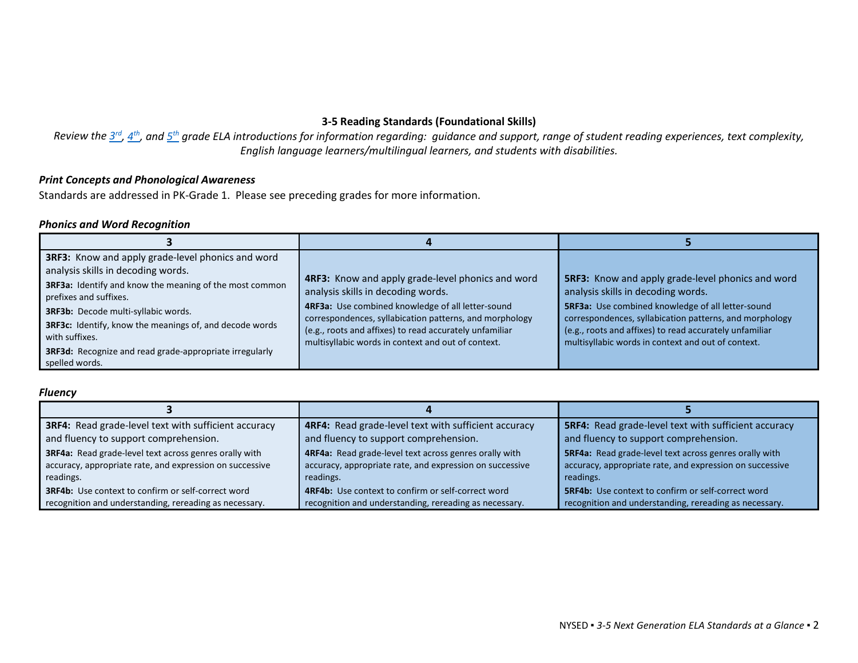# **3-5 Reading Standards (Foundational Skills)**

*Review the [3rd,](http://www.nysed.gov/common/nysed/files/programs/curriculum-instruction/nys-next-generation-ela-standards.pdf#page=45) [4th,](http://www.nysed.gov/common/nysed/files/programs/curriculum-instruction/nys-next-generation-ela-standards.pdf#page=54) and [5th](http://www.nysed.gov/common/nysed/files/programs/curriculum-instruction/nys-next-generation-ela-standards.pdf#page=63) grade ELA introductions for information regarding: guidance and support, range of student reading experiences, text complexity, English language learners/multilingual learners, and students with disabilities.*

#### *Print Concepts and Phonological Awareness*

Standards are addressed in PK-Grade 1. Please see preceding grades for more information.

#### *Phonics and Word Recognition*

| 3RF3: Know and apply grade-level phonics and word<br>analysis skills in decoding words.<br>3RF3a: Identify and know the meaning of the most common<br>prefixes and suffixes.<br>3RF3b: Decode multi-syllabic words.<br><b>3RF3c:</b> Identify, know the meanings of, and decode words<br>with suffixes.<br><b>3RF3d:</b> Recognize and read grade-appropriate irregularly<br>spelled words. | 4RF3: Know and apply grade-level phonics and word<br>analysis skills in decoding words.<br>4RF3a: Use combined knowledge of all letter-sound<br>correspondences, syllabication patterns, and morphology<br>(e.g., roots and affixes) to read accurately unfamiliar<br>multisyllabic words in context and out of context. | <b>5RF3:</b> Know and apply grade-level phonics and word<br>analysis skills in decoding words.<br>5RF3a: Use combined knowledge of all letter-sound<br>correspondences, syllabication patterns, and morphology<br>(e.g., roots and affixes) to read accurately unfamiliar<br>multisyllabic words in context and out of context. |
|---------------------------------------------------------------------------------------------------------------------------------------------------------------------------------------------------------------------------------------------------------------------------------------------------------------------------------------------------------------------------------------------|--------------------------------------------------------------------------------------------------------------------------------------------------------------------------------------------------------------------------------------------------------------------------------------------------------------------------|---------------------------------------------------------------------------------------------------------------------------------------------------------------------------------------------------------------------------------------------------------------------------------------------------------------------------------|

#### *Fluency*

| <b>3RF4:</b> Read grade-level text with sufficient accuracy<br>and fluency to support comprehension. | 4RF4: Read grade-level text with sufficient accuracy<br>and fluency to support comprehension. | <b>5RF4:</b> Read grade-level text with sufficient accuracy<br>and fluency to support comprehension. |
|------------------------------------------------------------------------------------------------------|-----------------------------------------------------------------------------------------------|------------------------------------------------------------------------------------------------------|
| 3RF4a: Read grade-level text across genres orally with                                               | 4RF4a: Read grade-level text across genres orally with                                        | <b>5RF4a:</b> Read grade-level text across genres orally with                                        |
| accuracy, appropriate rate, and expression on successive                                             | accuracy, appropriate rate, and expression on successive                                      | accuracy, appropriate rate, and expression on successive                                             |
| readings.<br><b>3RF4b:</b> Use context to confirm or self-correct word                               | readings.<br>4RF4b: Use context to confirm or self-correct word                               | readings.<br><b>5RF4b:</b> Use context to confirm or self-correct word                               |
| recognition and understanding, rereading as necessary.                                               | recognition and understanding, rereading as necessary.                                        | recognition and understanding, rereading as necessary.                                               |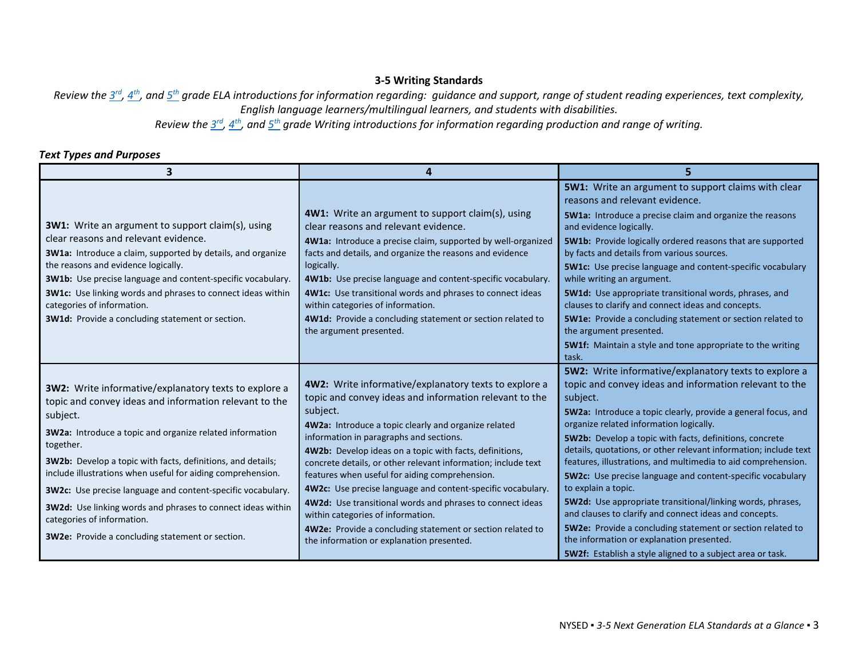#### **3-5 Writing Standards**

*Review the [3rd,](http://www.nysed.gov/common/nysed/files/programs/curriculum-instruction/nys-next-generation-ela-standards.pdf#page=45) [4th,](http://www.nysed.gov/common/nysed/files/programs/curriculum-instruction/nys-next-generation-ela-standards.pdf#page=54) and [5th](http://www.nysed.gov/common/nysed/files/programs/curriculum-instruction/nys-next-generation-ela-standards.pdf#page=63) grade ELA introductions for information regarding: guidance and support, range of student reading experiences, text complexity, English language learners/multilingual learners, and students with disabilities.* 

*Review the [3rd,](http://www.nysed.gov/common/nysed/files/programs/curriculum-instruction/nys-next-generation-ela-standards.pdf#page=49) [4th,](http://www.nysed.gov/common/nysed/files/programs/curriculum-instruction/nys-next-generation-ela-standards.pdf#page=58) and [5th](http://www.nysed.gov/common/nysed/files/programs/curriculum-instruction/nys-next-generation-ela-standards.pdf#page=67) grade Writing introductions for information regarding production and range of writing.*

## *Text Types and Purposes*

| $\overline{\mathbf{3}}$                                                                                                                                                                                                                                                                                                                                                                                                                                                 | Δ                                                                                                                                                                                                                                                                                                                                                                                                                                                                                                                                        |                                                                                                                                                                                                                                                                                                                                                                                                                                                                                                                                                                                            |
|-------------------------------------------------------------------------------------------------------------------------------------------------------------------------------------------------------------------------------------------------------------------------------------------------------------------------------------------------------------------------------------------------------------------------------------------------------------------------|------------------------------------------------------------------------------------------------------------------------------------------------------------------------------------------------------------------------------------------------------------------------------------------------------------------------------------------------------------------------------------------------------------------------------------------------------------------------------------------------------------------------------------------|--------------------------------------------------------------------------------------------------------------------------------------------------------------------------------------------------------------------------------------------------------------------------------------------------------------------------------------------------------------------------------------------------------------------------------------------------------------------------------------------------------------------------------------------------------------------------------------------|
|                                                                                                                                                                                                                                                                                                                                                                                                                                                                         |                                                                                                                                                                                                                                                                                                                                                                                                                                                                                                                                          | 5W1: Write an argument to support claims with clear<br>reasons and relevant evidence.                                                                                                                                                                                                                                                                                                                                                                                                                                                                                                      |
| <b>3W1:</b> Write an argument to support claim(s), using                                                                                                                                                                                                                                                                                                                                                                                                                | 4W1: Write an argument to support claim(s), using<br>clear reasons and relevant evidence.                                                                                                                                                                                                                                                                                                                                                                                                                                                | 5W1a: Introduce a precise claim and organize the reasons<br>and evidence logically.                                                                                                                                                                                                                                                                                                                                                                                                                                                                                                        |
| clear reasons and relevant evidence.<br><b>3W1a:</b> Introduce a claim, supported by details, and organize                                                                                                                                                                                                                                                                                                                                                              | 4W1a: Introduce a precise claim, supported by well-organized<br>facts and details, and organize the reasons and evidence                                                                                                                                                                                                                                                                                                                                                                                                                 | 5W1b: Provide logically ordered reasons that are supported<br>by facts and details from various sources.                                                                                                                                                                                                                                                                                                                                                                                                                                                                                   |
| the reasons and evidence logically.<br><b>3W1b:</b> Use precise language and content-specific vocabulary.                                                                                                                                                                                                                                                                                                                                                               | logically.<br>4W1b: Use precise language and content-specific vocabulary.                                                                                                                                                                                                                                                                                                                                                                                                                                                                | 5W1c: Use precise language and content-specific vocabulary<br>while writing an argument.                                                                                                                                                                                                                                                                                                                                                                                                                                                                                                   |
| 3W1c: Use linking words and phrases to connect ideas within<br>categories of information.                                                                                                                                                                                                                                                                                                                                                                               | 4W1c: Use transitional words and phrases to connect ideas<br>within categories of information.                                                                                                                                                                                                                                                                                                                                                                                                                                           | 5W1d: Use appropriate transitional words, phrases, and<br>clauses to clarify and connect ideas and concepts.                                                                                                                                                                                                                                                                                                                                                                                                                                                                               |
| 3W1d: Provide a concluding statement or section.                                                                                                                                                                                                                                                                                                                                                                                                                        | 4W1d: Provide a concluding statement or section related to<br>the argument presented.                                                                                                                                                                                                                                                                                                                                                                                                                                                    | 5W1e: Provide a concluding statement or section related to<br>the argument presented.                                                                                                                                                                                                                                                                                                                                                                                                                                                                                                      |
|                                                                                                                                                                                                                                                                                                                                                                                                                                                                         |                                                                                                                                                                                                                                                                                                                                                                                                                                                                                                                                          | 5W1f: Maintain a style and tone appropriate to the writing<br>task.                                                                                                                                                                                                                                                                                                                                                                                                                                                                                                                        |
| 3W2: Write informative/explanatory texts to explore a<br>topic and convey ideas and information relevant to the<br>subject.<br>3W2a: Introduce a topic and organize related information<br>together.<br><b>3W2b:</b> Develop a topic with facts, definitions, and details;<br>include illustrations when useful for aiding comprehension.<br>3W2c: Use precise language and content-specific vocabulary.<br>3W2d: Use linking words and phrases to connect ideas within | 4W2: Write informative/explanatory texts to explore a<br>topic and convey ideas and information relevant to the<br>subject.<br>4W2a: Introduce a topic clearly and organize related<br>information in paragraphs and sections.<br>4W2b: Develop ideas on a topic with facts, definitions,<br>concrete details, or other relevant information; include text<br>features when useful for aiding comprehension.<br>4W2c: Use precise language and content-specific vocabulary.<br>4W2d: Use transitional words and phrases to connect ideas | 5W2: Write informative/explanatory texts to explore a<br>topic and convey ideas and information relevant to the<br>subject.<br>5W2a: Introduce a topic clearly, provide a general focus, and<br>organize related information logically.<br>5W2b: Develop a topic with facts, definitions, concrete<br>details, quotations, or other relevant information; include text<br>features, illustrations, and multimedia to aid comprehension.<br>5W2c: Use precise language and content-specific vocabulary<br>to explain a topic.<br>5W2d: Use appropriate transitional/linking words, phrases, |
| categories of information.<br>3W2e: Provide a concluding statement or section.                                                                                                                                                                                                                                                                                                                                                                                          | within categories of information.<br>4W2e: Provide a concluding statement or section related to<br>the information or explanation presented.                                                                                                                                                                                                                                                                                                                                                                                             | and clauses to clarify and connect ideas and concepts.<br>5W2e: Provide a concluding statement or section related to<br>the information or explanation presented.                                                                                                                                                                                                                                                                                                                                                                                                                          |
|                                                                                                                                                                                                                                                                                                                                                                                                                                                                         |                                                                                                                                                                                                                                                                                                                                                                                                                                                                                                                                          | <b>5W2f:</b> Establish a style aligned to a subject area or task.                                                                                                                                                                                                                                                                                                                                                                                                                                                                                                                          |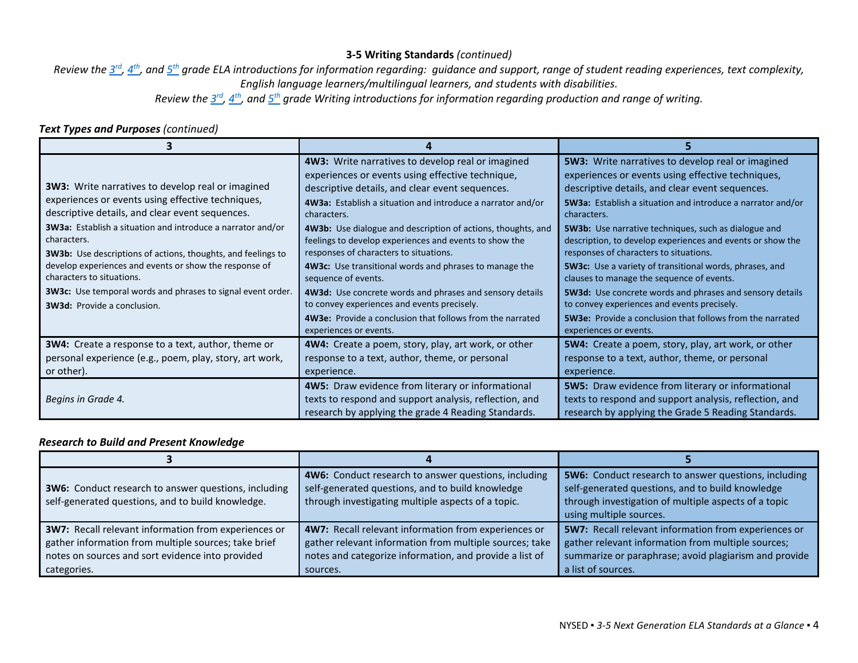# **3-5 Writing Standards** *(continued)*

*Review the [3rd,](http://www.nysed.gov/common/nysed/files/programs/curriculum-instruction/nys-next-generation-ela-standards.pdf#page=45) [4th,](http://www.nysed.gov/common/nysed/files/programs/curriculum-instruction/nys-next-generation-ela-standards.pdf#page=54) and [5th](http://www.nysed.gov/common/nysed/files/programs/curriculum-instruction/nys-next-generation-ela-standards.pdf#page=63) grade ELA introductions for information regarding: guidance and support, range of student reading experiences, text complexity, English language learners/multilingual learners, and students with disabilities.* 

*Review the [3rd,](http://www.nysed.gov/common/nysed/files/programs/curriculum-instruction/nys-next-generation-ela-standards.pdf#page=49) [4th,](http://www.nysed.gov/common/nysed/files/programs/curriculum-instruction/nys-next-generation-ela-standards.pdf#page=58) and [5th](http://www.nysed.gov/common/nysed/files/programs/curriculum-instruction/nys-next-generation-ela-standards.pdf#page=67) grade Writing introductions for information regarding production and range of writing.*

## *Text Types and Purposes (continued)*

|                                                                     | 4W3: Write narratives to develop real or imagined                | 5W3: Write narratives to develop real or imagined                  |
|---------------------------------------------------------------------|------------------------------------------------------------------|--------------------------------------------------------------------|
|                                                                     | experiences or events using effective technique,                 | experiences or events using effective techniques,                  |
| 3W3: Write narratives to develop real or imagined                   | descriptive details, and clear event sequences.                  | descriptive details, and clear event sequences.                    |
| experiences or events using effective techniques,                   | 4W3a: Establish a situation and introduce a narrator and/or      | <b>5W3a:</b> Establish a situation and introduce a narrator and/or |
| descriptive details, and clear event sequences.                     | characters.                                                      | characters.                                                        |
| 3W3a: Establish a situation and introduce a narrator and/or         | 4W3b: Use dialogue and description of actions, thoughts, and     | <b>5W3b:</b> Use narrative techniques, such as dialogue and        |
| characters.                                                         | feelings to develop experiences and events to show the           | description, to develop experiences and events or show the         |
| <b>3W3b:</b> Use descriptions of actions, thoughts, and feelings to | responses of characters to situations.                           | responses of characters to situations.                             |
| develop experiences and events or show the response of              | 4W3c: Use transitional words and phrases to manage the           | 5W3c: Use a variety of transitional words, phrases, and            |
| characters to situations.                                           | sequence of events.                                              | clauses to manage the sequence of events.                          |
| <b>3W3c:</b> Use temporal words and phrases to signal event order.  | 4W3d: Use concrete words and phrases and sensory details         | 5W3d: Use concrete words and phrases and sensory details           |
| <b>3W3d:</b> Provide a conclusion.                                  | to convey experiences and events precisely.                      | to convey experiences and events precisely.                        |
|                                                                     | <b>4W3e:</b> Provide a conclusion that follows from the narrated | <b>5W3e:</b> Provide a conclusion that follows from the narrated   |
|                                                                     | experiences or events.                                           | experiences or events.                                             |
| <b>3W4:</b> Create a response to a text, author, theme or           | 4W4: Create a poem, story, play, art work, or other              | 5W4: Create a poem, story, play, art work, or other                |
| personal experience (e.g., poem, play, story, art work,             | response to a text, author, theme, or personal                   | response to a text, author, theme, or personal                     |
| or other).                                                          | experience.                                                      | experience.                                                        |
|                                                                     | 4W5: Draw evidence from literary or informational                | 5W5: Draw evidence from literary or informational                  |
| Begins in Grade 4.                                                  | texts to respond and support analysis, reflection, and           | texts to respond and support analysis, reflection, and             |
|                                                                     | research by applying the grade 4 Reading Standards.              | research by applying the Grade 5 Reading Standards.                |

#### *Research to Build and Present Knowledge*

| <b>3W6:</b> Conduct research to answer questions, including<br>self-generated questions, and to build knowledge.                                                                | 4W6: Conduct research to answer questions, including<br>self-generated questions, and to build knowledge<br>through investigating multiple aspects of a topic.                         | <b>5W6:</b> Conduct research to answer questions, including<br>self-generated questions, and to build knowledge<br>through investigation of multiple aspects of a topic<br>using multiple sources. |
|---------------------------------------------------------------------------------------------------------------------------------------------------------------------------------|----------------------------------------------------------------------------------------------------------------------------------------------------------------------------------------|----------------------------------------------------------------------------------------------------------------------------------------------------------------------------------------------------|
| 3W7: Recall relevant information from experiences or<br>gather information from multiple sources; take brief<br>notes on sources and sort evidence into provided<br>categories. | 4W7: Recall relevant information from experiences or<br>gather relevant information from multiple sources; take<br>notes and categorize information, and provide a list of<br>sources. | <b>5W7:</b> Recall relevant information from experiences or<br>gather relevant information from multiple sources;<br>summarize or paraphrase; avoid plagiarism and provide<br>a list of sources.   |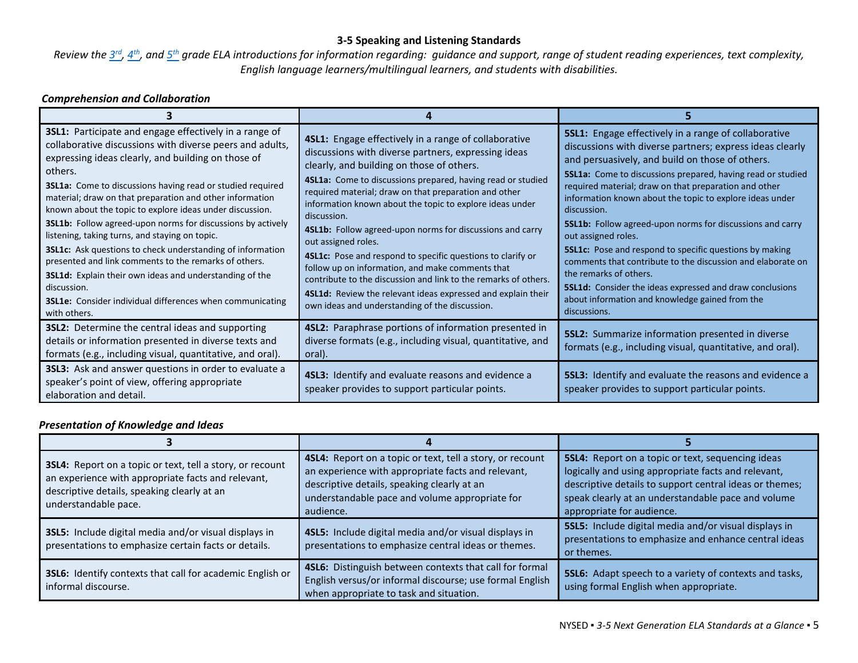# **3-5 Speaking and Listening Standards**

*Review the [3rd,](http://www.nysed.gov/common/nysed/files/programs/curriculum-instruction/nys-next-generation-ela-standards.pdf#page=45) [4th,](http://www.nysed.gov/common/nysed/files/programs/curriculum-instruction/nys-next-generation-ela-standards.pdf#page=54) and [5th](http://www.nysed.gov/common/nysed/files/programs/curriculum-instruction/nys-next-generation-ela-standards.pdf#page=63) grade ELA introductions for information regarding: guidance and support, range of student reading experiences, text complexity, English language learners/multilingual learners, and students with disabilities.*

# *Comprehension and Collaboration*

| 3SL1: Participate and engage effectively in a range of<br>collaborative discussions with diverse peers and adults,<br>expressing ideas clearly, and building on those of<br>others.<br><b>3SL1a:</b> Come to discussions having read or studied required<br>material; draw on that preparation and other information<br>known about the topic to explore ideas under discussion.<br><b>3SL1b:</b> Follow agreed-upon norms for discussions by actively<br>listening, taking turns, and staying on topic.<br><b>3SL1c:</b> Ask questions to check understanding of information<br>presented and link comments to the remarks of others.<br>3SL1d: Explain their own ideas and understanding of the<br>discussion.<br><b>3SL1e:</b> Consider individual differences when communicating<br>with others. | 4SL1: Engage effectively in a range of collaborative<br>discussions with diverse partners, expressing ideas<br>clearly, and building on those of others.<br>4SL1a: Come to discussions prepared, having read or studied<br>required material; draw on that preparation and other<br>information known about the topic to explore ideas under<br>discussion.<br>4SL1b: Follow agreed-upon norms for discussions and carry<br>out assigned roles.<br>4SL1c: Pose and respond to specific questions to clarify or<br>follow up on information, and make comments that<br>contribute to the discussion and link to the remarks of others.<br>4SL1d: Review the relevant ideas expressed and explain their<br>own ideas and understanding of the discussion. | 5SL1: Engage effectively in a range of collaborative<br>discussions with diverse partners; express ideas clearly<br>and persuasively, and build on those of others.<br>5SL1a: Come to discussions prepared, having read or studied<br>required material; draw on that preparation and other<br>information known about the topic to explore ideas under<br>discussion.<br>5SL1b: Follow agreed-upon norms for discussions and carry<br>out assigned roles.<br><b>5SL1c:</b> Pose and respond to specific questions by making<br>comments that contribute to the discussion and elaborate on<br>the remarks of others.<br><b>5SL1d:</b> Consider the ideas expressed and draw conclusions<br>about information and knowledge gained from the<br>discussions. |
|------------------------------------------------------------------------------------------------------------------------------------------------------------------------------------------------------------------------------------------------------------------------------------------------------------------------------------------------------------------------------------------------------------------------------------------------------------------------------------------------------------------------------------------------------------------------------------------------------------------------------------------------------------------------------------------------------------------------------------------------------------------------------------------------------|---------------------------------------------------------------------------------------------------------------------------------------------------------------------------------------------------------------------------------------------------------------------------------------------------------------------------------------------------------------------------------------------------------------------------------------------------------------------------------------------------------------------------------------------------------------------------------------------------------------------------------------------------------------------------------------------------------------------------------------------------------|-------------------------------------------------------------------------------------------------------------------------------------------------------------------------------------------------------------------------------------------------------------------------------------------------------------------------------------------------------------------------------------------------------------------------------------------------------------------------------------------------------------------------------------------------------------------------------------------------------------------------------------------------------------------------------------------------------------------------------------------------------------|
| <b>3SL2:</b> Determine the central ideas and supporting<br>details or information presented in diverse texts and<br>formats (e.g., including visual, quantitative, and oral).                                                                                                                                                                                                                                                                                                                                                                                                                                                                                                                                                                                                                        | <b>4SL2:</b> Paraphrase portions of information presented in<br>diverse formats (e.g., including visual, quantitative, and<br>oral).                                                                                                                                                                                                                                                                                                                                                                                                                                                                                                                                                                                                                    | <b>5SL2:</b> Summarize information presented in diverse<br>formats (e.g., including visual, quantitative, and oral).                                                                                                                                                                                                                                                                                                                                                                                                                                                                                                                                                                                                                                        |
| 3SL3: Ask and answer questions in order to evaluate a<br>speaker's point of view, offering appropriate<br>elaboration and detail.                                                                                                                                                                                                                                                                                                                                                                                                                                                                                                                                                                                                                                                                    | 4SL3: Identify and evaluate reasons and evidence a<br>speaker provides to support particular points.                                                                                                                                                                                                                                                                                                                                                                                                                                                                                                                                                                                                                                                    | <b>5SL3:</b> Identify and evaluate the reasons and evidence a<br>speaker provides to support particular points.                                                                                                                                                                                                                                                                                                                                                                                                                                                                                                                                                                                                                                             |

## *Presentation of Knowledge and Ideas*

| 3SL4: Report on a topic or text, tell a story, or recount<br>an experience with appropriate facts and relevant,<br>descriptive details, speaking clearly at an<br>understandable pace. | 4SL4: Report on a topic or text, tell a story, or recount<br>an experience with appropriate facts and relevant,<br>descriptive details, speaking clearly at an<br>understandable pace and volume appropriate for<br>audience. | 5SL4: Report on a topic or text, sequencing ideas<br>logically and using appropriate facts and relevant,<br>descriptive details to support central ideas or themes;<br>speak clearly at an understandable pace and volume<br>appropriate for audience. |
|----------------------------------------------------------------------------------------------------------------------------------------------------------------------------------------|-------------------------------------------------------------------------------------------------------------------------------------------------------------------------------------------------------------------------------|--------------------------------------------------------------------------------------------------------------------------------------------------------------------------------------------------------------------------------------------------------|
| 3SL5: Include digital media and/or visual displays in<br>presentations to emphasize certain facts or details.                                                                          | 4SL5: Include digital media and/or visual displays in<br>presentations to emphasize central ideas or themes.                                                                                                                  | 5SL5: Include digital media and/or visual displays in<br>presentations to emphasize and enhance central ideas<br>or themes.                                                                                                                            |
| 3SL6: Identify contexts that call for academic English or<br>informal discourse.                                                                                                       | 4SL6: Distinguish between contexts that call for formal<br>English versus/or informal discourse; use formal English<br>when appropriate to task and situation.                                                                | 5SL6: Adapt speech to a variety of contexts and tasks,<br>using formal English when appropriate.                                                                                                                                                       |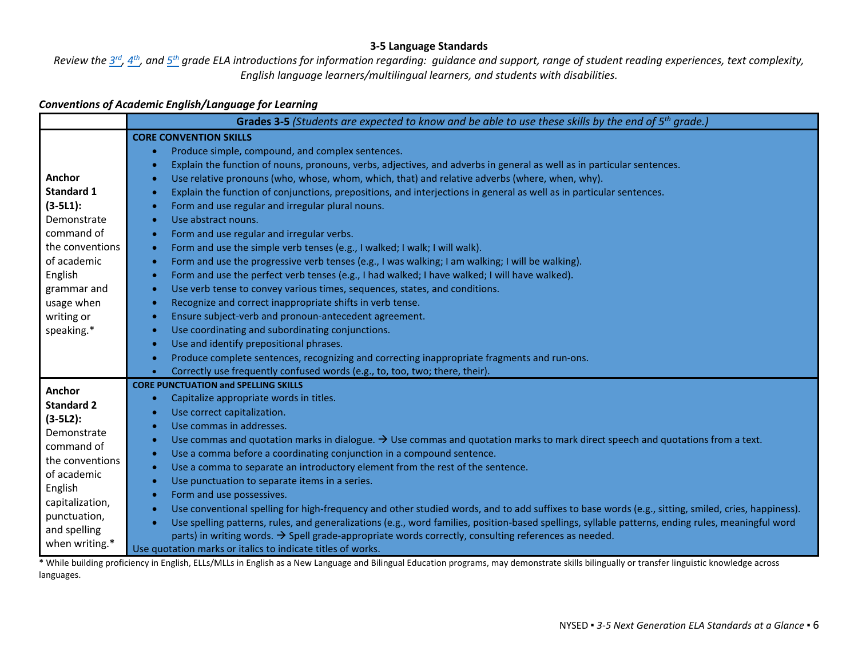#### **3-5 Language Standards**

*Review the [3rd,](http://www.nysed.gov/common/nysed/files/programs/curriculum-instruction/nys-next-generation-ela-standards.pdf#page=45) [4th,](http://www.nysed.gov/common/nysed/files/programs/curriculum-instruction/nys-next-generation-ela-standards.pdf#page=54) and [5th](http://www.nysed.gov/common/nysed/files/programs/curriculum-instruction/nys-next-generation-ela-standards.pdf#page=63) grade ELA introductions for information regarding: guidance and support, range of student reading experiences, text complexity, English language learners/multilingual learners, and students with disabilities.*

# *Conventions of Academic English/Language for Learning*

|                   | <b>Grades 3-5</b> (Students are expected to know and be able to use these skills by the end of $5th$ grade.)                                                    |
|-------------------|-----------------------------------------------------------------------------------------------------------------------------------------------------------------|
|                   | <b>CORE CONVENTION SKILLS</b>                                                                                                                                   |
|                   | Produce simple, compound, and complex sentences.<br>$\bullet$                                                                                                   |
|                   | Explain the function of nouns, pronouns, verbs, adjectives, and adverbs in general as well as in particular sentences.<br>$\bullet$                             |
| Anchor            | Use relative pronouns (who, whose, whom, which, that) and relative adverbs (where, when, why).                                                                  |
| <b>Standard 1</b> | Explain the function of conjunctions, prepositions, and interjections in general as well as in particular sentences.<br>$\bullet$                               |
| $(3 - 5L1)$ :     | Form and use regular and irregular plural nouns.<br>$\bullet$                                                                                                   |
| Demonstrate       | Use abstract nouns.<br>$\bullet$                                                                                                                                |
| command of        | Form and use regular and irregular verbs.<br>$\bullet$                                                                                                          |
| the conventions   | Form and use the simple verb tenses (e.g., I walked; I walk; I will walk).<br>$\bullet$                                                                         |
| of academic       | Form and use the progressive verb tenses (e.g., I was walking; I am walking; I will be walking).<br>$\bullet$                                                   |
| English           | Form and use the perfect verb tenses (e.g., I had walked; I have walked; I will have walked).<br>$\bullet$                                                      |
| grammar and       | Use verb tense to convey various times, sequences, states, and conditions.<br>$\bullet$                                                                         |
| usage when        | Recognize and correct inappropriate shifts in verb tense.<br>$\bullet$                                                                                          |
| writing or        | Ensure subject-verb and pronoun-antecedent agreement.<br>$\bullet$                                                                                              |
| speaking.*        | Use coordinating and subordinating conjunctions.<br>$\bullet$                                                                                                   |
|                   | Use and identify prepositional phrases.<br>$\bullet$                                                                                                            |
|                   | Produce complete sentences, recognizing and correcting inappropriate fragments and run-ons.<br>$\bullet$                                                        |
|                   | Correctly use frequently confused words (e.g., to, too, two; there, their).                                                                                     |
| Anchor            | <b>CORE PUNCTUATION and SPELLING SKILLS</b>                                                                                                                     |
| <b>Standard 2</b> | Capitalize appropriate words in titles.<br>$\bullet$                                                                                                            |
| $(3-5L2)$ :       | Use correct capitalization.<br>$\bullet$                                                                                                                        |
| Demonstrate       | Use commas in addresses.<br>$\bullet$                                                                                                                           |
| command of        | Use commas and quotation marks in dialogue. $\rightarrow$ Use commas and quotation marks to mark direct speech and quotations from a text.<br>$\bullet$         |
| the conventions   | Use a comma before a coordinating conjunction in a compound sentence.<br>$\bullet$                                                                              |
| of academic       | Use a comma to separate an introductory element from the rest of the sentence.<br>$\bullet$                                                                     |
| English           | Use punctuation to separate items in a series.<br>$\bullet$                                                                                                     |
| capitalization,   | Form and use possessives.<br>$\bullet$                                                                                                                          |
| punctuation,      | Use conventional spelling for high-frequency and other studied words, and to add suffixes to base words (e.g., sitting, smiled, cries, happiness).              |
| and spelling      | Use spelling patterns, rules, and generalizations (e.g., word families, position-based spellings, syllable patterns, ending rules, meaningful word<br>$\bullet$ |
| when writing.*    | parts) in writing words. $\rightarrow$ Spell grade-appropriate words correctly, consulting references as needed.                                                |
|                   | Use quotation marks or italics to indicate titles of works.                                                                                                     |

\* While building proficiency in English, ELLs/MLLs in English as a New Language and Bilingual Education programs, may demonstrate skills bilingually or transfer linguistic knowledge across languages.